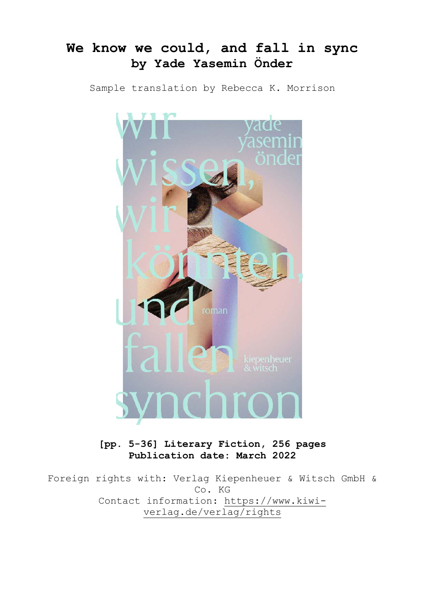# **We know we could, and fall in sync by Yade Yasemin Önder**

Sample translation by Rebecca K. Morrison



**[pp. 5-36] Literary Fiction, 256 pages Publication date: March 2022** 

Foreign rights with: Verlag Kiepenheuer & Witsch GmbH & Co. KG Contact information: https://www.kiwiverlag.de/verlag/rights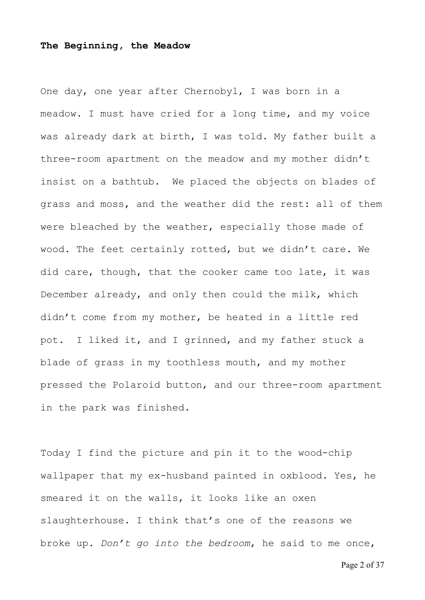#### **The Beginning, the Meadow**

One day, one year after Chernobyl, I was born in a meadow. I must have cried for a long time, and my voice was already dark at birth, I was told. My father built a three-room apartment on the meadow and my mother didn't insist on a bathtub. We placed the objects on blades of grass and moss, and the weather did the rest: all of them were bleached by the weather, especially those made of wood. The feet certainly rotted, but we didn't care. We did care, though, that the cooker came too late, it was December already, and only then could the milk, which didn't come from my mother, be heated in a little red pot. I liked it, and I grinned, and my father stuck a blade of grass in my toothless mouth, and my mother pressed the Polaroid button, and our three-room apartment in the park was finished.

Today I find the picture and pin it to the wood-chip wallpaper that my ex-husband painted in oxblood. Yes, he smeared it on the walls, it looks like an oxen slaughterhouse. I think that's one of the reasons we broke up. *Don't go into the bedroom*, he said to me once,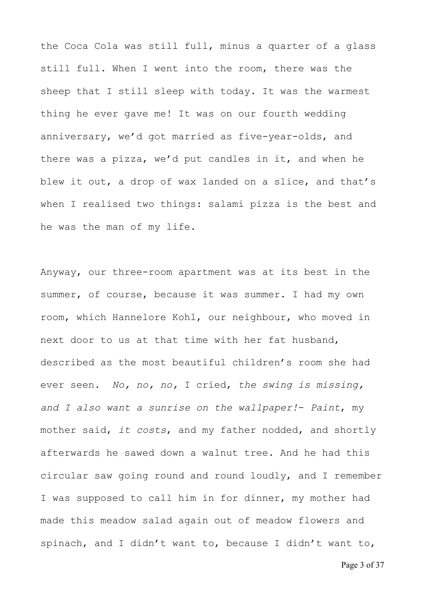the Coca Cola was still full, minus a quarter of a glass still full. When I went into the room, there was the sheep that I still sleep with today. It was the warmest thing he ever gave me! It was on our fourth wedding anniversary, we'd got married as five-year-olds, and there was a pizza, we'd put candles in it, and when he blew it out, a drop of wax landed on a slice, and that's when I realised two things: salami pizza is the best and he was the man of my life.

Anyway, our three-room apartment was at its best in the summer, of course, because it was summer. I had my own room, which Hannelore Kohl, our neighbour, who moved in next door to us at that time with her fat husband, described as the most beautiful children's room she had ever seen. *No, no, no,* I cried, *the swing is missing, and I also want a sunrise on the wallpaper!*- *Paint*, my mother said, *it costs*, and my father nodded, and shortly afterwards he sawed down a walnut tree. And he had this circular saw going round and round loudly, and I remember I was supposed to call him in for dinner, my mother had made this meadow salad again out of meadow flowers and spinach, and I didn't want to, because I didn't want to,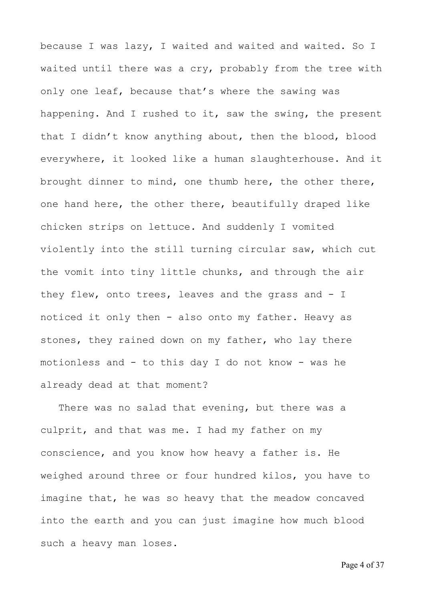because I was lazy, I waited and waited and waited. So I waited until there was a cry, probably from the tree with only one leaf, because that's where the sawing was happening. And I rushed to it, saw the swing, the present that I didn't know anything about, then the blood, blood everywhere, it looked like a human slaughterhouse. And it brought dinner to mind, one thumb here, the other there, one hand here, the other there, beautifully draped like chicken strips on lettuce. And suddenly I vomited violently into the still turning circular saw, which cut the vomit into tiny little chunks, and through the air they flew, onto trees, leaves and the grass and - I noticed it only then - also onto my father. Heavy as stones, they rained down on my father, who lay there motionless and - to this day I do not know - was he already dead at that moment?

There was no salad that evening, but there was a culprit, and that was me. I had my father on my conscience, and you know how heavy a father is. He weighed around three or four hundred kilos, you have to imagine that, he was so heavy that the meadow concaved into the earth and you can just imagine how much blood such a heavy man loses.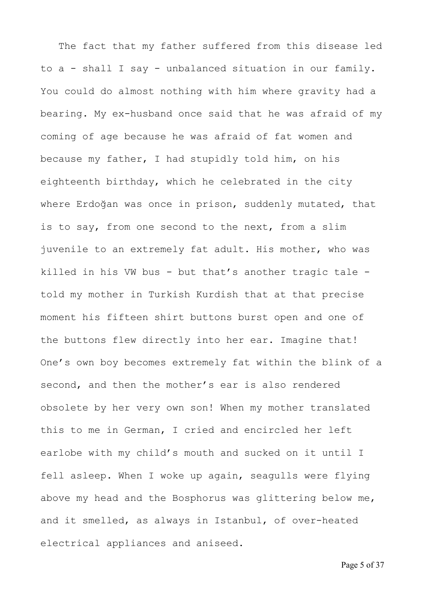The fact that my father suffered from this disease led to a - shall I say - unbalanced situation in our family. You could do almost nothing with him where gravity had a bearing. My ex-husband once said that he was afraid of my coming of age because he was afraid of fat women and because my father, I had stupidly told him, on his eighteenth birthday, which he celebrated in the city where Erdoğan was once in prison, suddenly mutated, that is to say, from one second to the next, from a slim juvenile to an extremely fat adult. His mother, who was killed in his VW bus - but that's another tragic tale told my mother in Turkish Kurdish that at that precise moment his fifteen shirt buttons burst open and one of the buttons flew directly into her ear. Imagine that! One's own boy becomes extremely fat within the blink of a second, and then the mother's ear is also rendered obsolete by her very own son! When my mother translated this to me in German, I cried and encircled her left earlobe with my child's mouth and sucked on it until I fell asleep. When I woke up again, seagulls were flying above my head and the Bosphorus was glittering below me, and it smelled, as always in Istanbul, of over-heated electrical appliances and aniseed.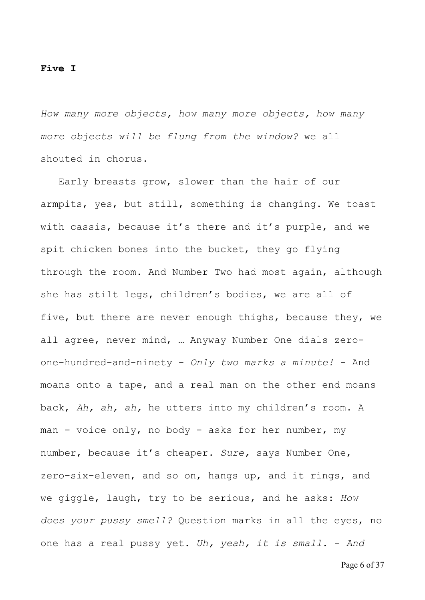#### **Five I**

*How many more objects, how many more objects, how many more objects will be flung from the window?* we all shouted in chorus.

 Early breasts grow, slower than the hair of our armpits, yes, but still, something is changing. We toast with cassis, because it's there and it's purple, and we spit chicken bones into the bucket, they go flying through the room. And Number Two had most again, although she has stilt legs, children's bodies, we are all of five, but there are never enough thighs, because they, we all agree, never mind, … Anyway Number One dials zeroone-hundred-and-ninety - *Only two marks a minute!* - And moans onto a tape, and a real man on the other end moans back, *Ah, ah, ah,* he utters into my children's room. A man - voice only, no body - asks for her number, my number, because it's cheaper. *Sure,* says Number One, zero-six-eleven, and so on, hangs up, and it rings, and we giggle, laugh, try to be serious, and he asks: *How does your pussy smell?* Question marks in all the eyes, no one has a real pussy yet. *Uh, yeah, it is small.* - *And* 

Page 6 of 37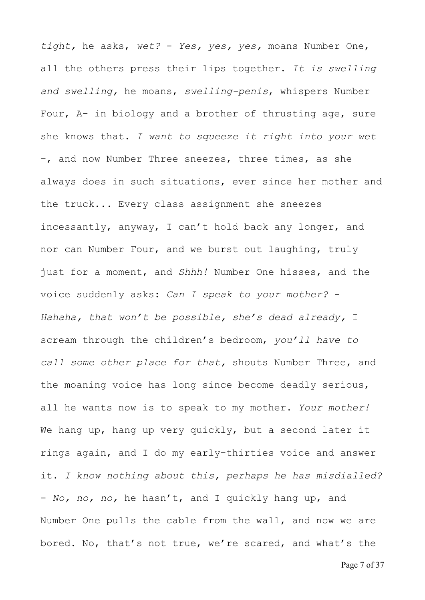*tight,* he asks, *wet?* - *Yes, yes, yes,* moans Number One, all the others press their lips together. *It is swelling and swelling,* he moans, *swelling-penis*, whispers Number Four, A- in biology and a brother of thrusting age, sure she knows that. *I want to squeeze it right into your wet*  -, and now Number Three sneezes, three times, as she always does in such situations, ever since her mother and the truck... Every class assignment she sneezes incessantly, anyway, I can't hold back any longer, and nor can Number Four, and we burst out laughing, truly just for a moment, and *Shhh!* Number One hisses, and the voice suddenly asks: *Can I speak to your mother?* - *Hahaha, that won't be possible, she's dead already,* I scream through the children's bedroom, *you'll have to call some other place for that,* shouts Number Three, and the moaning voice has long since become deadly serious, all he wants now is to speak to my mother. *Your mother!* We hang up, hang up very quickly, but a second later it rings again, and I do my early-thirties voice and answer it. *I know nothing about this, perhaps he has misdialled?* - *No, no, no,* he hasn't, and I quickly hang up, and Number One pulls the cable from the wall, and now we are bored. No, that's not true, we're scared, and what's the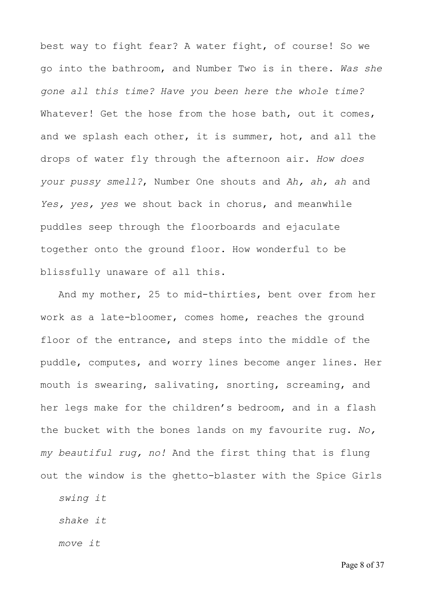best way to fight fear? A water fight, of course! So we go into the bathroom, and Number Two is in there. *Was she gone all this time? Have you been here the whole time?* Whatever! Get the hose from the hose bath, out it comes, and we splash each other, it is summer, hot, and all the drops of water fly through the afternoon air. *How does your pussy smell?*, Number One shouts and *Ah, ah, ah* and *Yes, yes, yes* we shout back in chorus, and meanwhile puddles seep through the floorboards and ejaculate together onto the ground floor. How wonderful to be blissfully unaware of all this.

 And my mother, 25 to mid-thirties, bent over from her work as a late-bloomer, comes home, reaches the ground floor of the entrance, and steps into the middle of the puddle, computes, and worry lines become anger lines. Her mouth is swearing, salivating, snorting, screaming, and her legs make for the children's bedroom, and in a flash the bucket with the bones lands on my favourite rug. *No, my beautiful rug, no!* And the first thing that is flung out the window is the ghetto-blaster with the Spice Girls

*swing it* 

 *shake it* 

 *move it*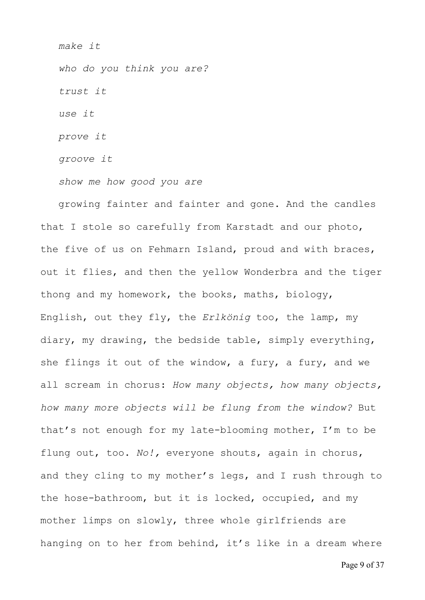*make it who do you think you are? trust it use it prove it groove it* 

 *show me how good you are* 

 growing fainter and fainter and gone. And the candles that I stole so carefully from Karstadt and our photo, the five of us on Fehmarn Island, proud and with braces, out it flies, and then the yellow Wonderbra and the tiger thong and my homework, the books, maths, biology, English, out they fly, the *Erlkönig* too, the lamp, my diary, my drawing, the bedside table, simply everything, she flings it out of the window, a fury, a fury, and we all scream in chorus: *How many objects, how many objects, how many more objects will be flung from the window?* But that's not enough for my late-blooming mother, I'm to be flung out, too. *No!,* everyone shouts, again in chorus, and they cling to my mother's legs, and I rush through to the hose-bathroom, but it is locked, occupied, and my mother limps on slowly, three whole girlfriends are hanging on to her from behind, it's like in a dream where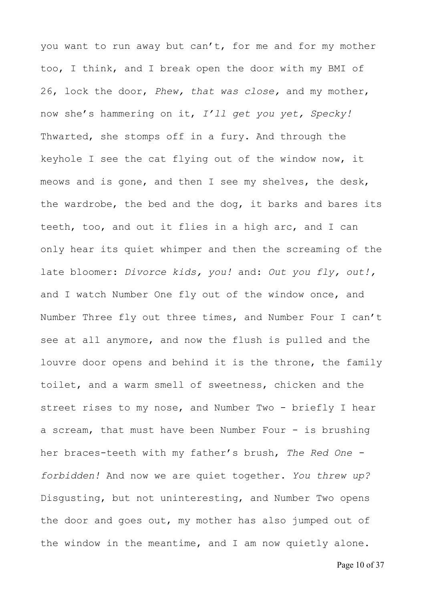you want to run away but can't, for me and for my mother too, I think, and I break open the door with my BMI of 26, lock the door, *Phew, that was close,* and my mother, now she's hammering on it, *I'll get you yet, Specky!* Thwarted, she stomps off in a fury. And through the keyhole I see the cat flying out of the window now, it meows and is gone, and then I see my shelves, the desk, the wardrobe, the bed and the dog, it barks and bares its teeth, too, and out it flies in a high arc, and I can only hear its quiet whimper and then the screaming of the late bloomer: *Divorce kids, you!* and: *Out you fly, out!,* and I watch Number One fly out of the window once, and Number Three fly out three times, and Number Four I can't see at all anymore, and now the flush is pulled and the louvre door opens and behind it is the throne, the family toilet, and a warm smell of sweetness, chicken and the street rises to my nose, and Number Two - briefly I hear a scream, that must have been Number Four - is brushing her braces-teeth with my father's brush, *The Red One forbidden!* And now we are quiet together. *You threw up?* Disgusting, but not uninteresting, and Number Two opens the door and goes out, my mother has also jumped out of the window in the meantime, and I am now quietly alone.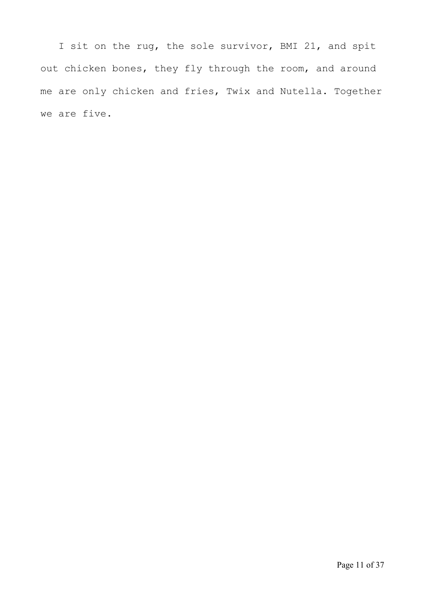I sit on the rug, the sole survivor, BMI 21, and spit out chicken bones, they fly through the room, and around me are only chicken and fries, Twix and Nutella. Together we are five.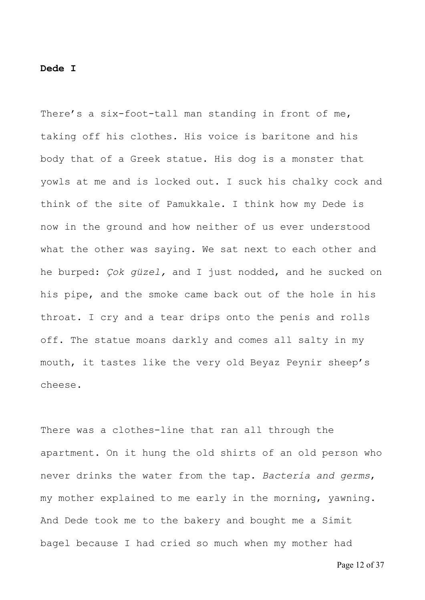#### **Dede I**

There's a six-foot-tall man standing in front of me, taking off his clothes. His voice is baritone and his body that of a Greek statue. His dog is a monster that yowls at me and is locked out. I suck his chalky cock and think of the site of Pamukkale. I think how my Dede is now in the ground and how neither of us ever understood what the other was saying. We sat next to each other and he burped: *Çok güzel,* and I just nodded, and he sucked on his pipe, and the smoke came back out of the hole in his throat. I cry and a tear drips onto the penis and rolls off. The statue moans darkly and comes all salty in my mouth, it tastes like the very old Beyaz Peynir sheep's cheese.

There was a clothes-line that ran all through the apartment. On it hung the old shirts of an old person who never drinks the water from the tap. *Bacteria and germs*, my mother explained to me early in the morning, yawning. And Dede took me to the bakery and bought me a Simit bagel because I had cried so much when my mother had

Page 12 of 37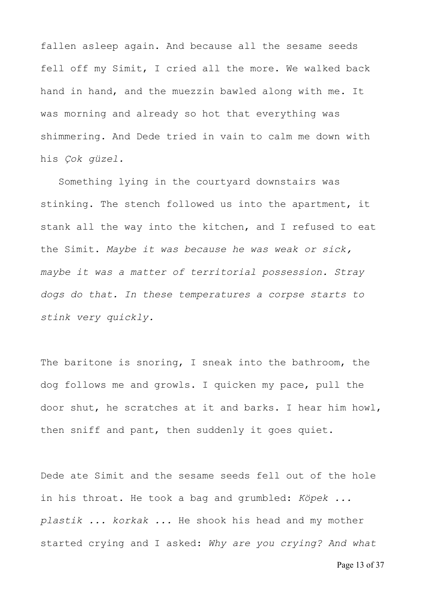fallen asleep again. And because all the sesame seeds fell off my Simit, I cried all the more. We walked back hand in hand, and the muezzin bawled along with me. It was morning and already so hot that everything was shimmering. And Dede tried in vain to calm me down with his *Çok güzel.*

 Something lying in the courtyard downstairs was stinking. The stench followed us into the apartment, it stank all the way into the kitchen, and I refused to eat the Simit. *Maybe it was because he was weak or sick, maybe it was a matter of territorial possession. Stray dogs do that. In these temperatures a corpse starts to stink very quickly.*

The baritone is snoring, I sneak into the bathroom, the dog follows me and growls. I quicken my pace, pull the door shut, he scratches at it and barks. I hear him howl, then sniff and pant, then suddenly it goes quiet.

Dede ate Simit and the sesame seeds fell out of the hole in his throat. He took a bag and grumbled: *Köpek ... plastik ... korkak ...* He shook his head and my mother started crying and I asked: *Why are you crying? And what*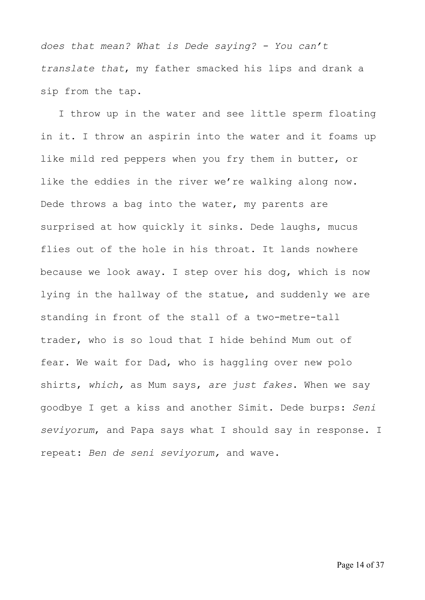*does that mean? What is Dede saying? - You can't translate that*, my father smacked his lips and drank a sip from the tap.

 I throw up in the water and see little sperm floating in it. I throw an aspirin into the water and it foams up like mild red peppers when you fry them in butter, or like the eddies in the river we're walking along now. Dede throws a bag into the water, my parents are surprised at how quickly it sinks. Dede laughs, mucus flies out of the hole in his throat. It lands nowhere because we look away. I step over his dog, which is now lying in the hallway of the statue, and suddenly we are standing in front of the stall of a two-metre-tall trader, who is so loud that I hide behind Mum out of fear. We wait for Dad, who is haggling over new polo shirts, *which,* as Mum says, *are just fakes*. When we say goodbye I get a kiss and another Simit. Dede burps: *Seni seviyorum*, and Papa says what I should say in response. I repeat: *Ben de seni seviyorum,* and wave.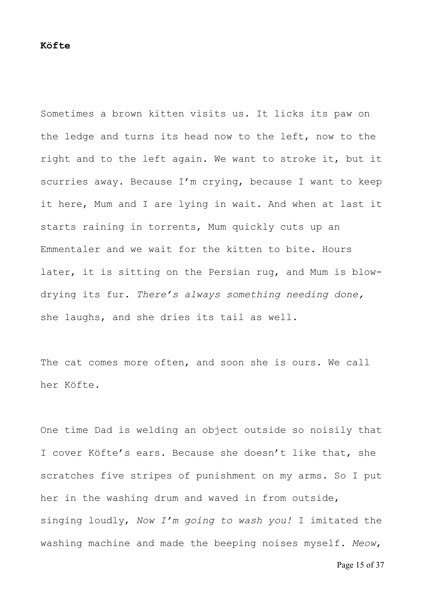Sometimes a brown kitten visits us. It licks its paw on the ledge and turns its head now to the left, now to the right and to the left again. We want to stroke it, but it scurries away. Because I'm crying, because I want to keep it here, Mum and I are lying in wait. And when at last it starts raining in torrents, Mum quickly cuts up an Emmentaler and we wait for the kitten to bite. Hours later, it is sitting on the Persian rug, and Mum is blowdrying its fur. *There's always something needing done,* she laughs, and she dries its tail as well.

The cat comes more often, and soon she is ours. We call her Köfte.

One time Dad is welding an object outside so noisily that I cover Köfte's ears. Because she doesn't like that, she scratches five stripes of punishment on my arms. So I put her in the washing drum and waved in from outside, singing loudly, *Now I'm going to wash you!* I imitated the washing machine and made the beeping noises myself. *Meow*,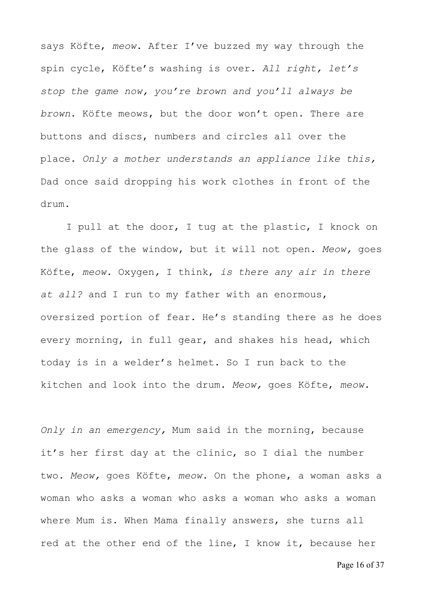says Köfte, *meow*. After I've buzzed my way through the spin cycle, Köfte's washing is over. *All right, let's stop the game now, you're brown and you'll always be brown*. Köfte meows, but the door won't open. There are buttons and discs, numbers and circles all over the place. *Only a mother understands an appliance like this,* Dad once said dropping his work clothes in front of the drum.

 I pull at the door, I tug at the plastic, I knock on the glass of the window, but it will not open. *Meow,* goes Köfte, *meow*. Oxygen*,* I think, *is there any air in there at all?* and I run to my father with an enormous, oversized portion of fear. He's standing there as he does every morning, in full gear, and shakes his head, which today is in a welder's helmet. So I run back to the kitchen and look into the drum. *Meow,* goes Köfte, *meow.*

*Only in an emergency,* Mum said in the morning, because it's her first day at the clinic, so I dial the number two. *Meow,* goes Köfte, *meow*. On the phone, a woman asks a woman who asks a woman who asks a woman who asks a woman where Mum is. When Mama finally answers, she turns all red at the other end of the line, I know it, because her

Page 16 of 37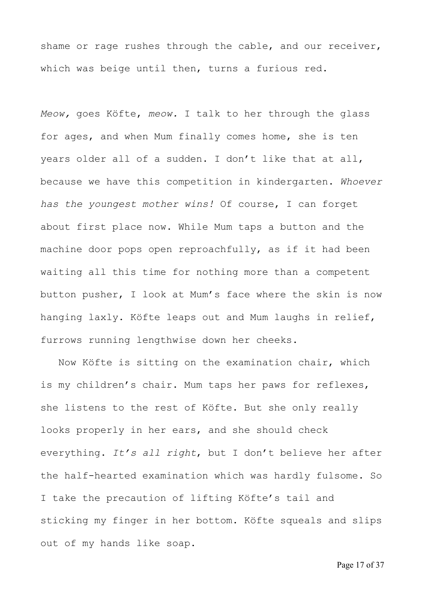shame or rage rushes through the cable, and our receiver, which was beige until then, turns a furious red.

*Meow,* goes Köfte, *meow.* I talk to her through the glass for ages, and when Mum finally comes home, she is ten years older all of a sudden. I don't like that at all, because we have this competition in kindergarten. *Whoever has the youngest mother wins!* Of course, I can forget about first place now. While Mum taps a button and the machine door pops open reproachfully, as if it had been waiting all this time for nothing more than a competent button pusher, I look at Mum's face where the skin is now hanging laxly. Köfte leaps out and Mum laughs in relief, furrows running lengthwise down her cheeks.

 Now Köfte is sitting on the examination chair, which is my children's chair. Mum taps her paws for reflexes, she listens to the rest of Köfte. But she only really looks properly in her ears, and she should check everything. *It's all right*, but I don't believe her after the half-hearted examination which was hardly fulsome. So I take the precaution of lifting Köfte's tail and sticking my finger in her bottom. Köfte squeals and slips out of my hands like soap.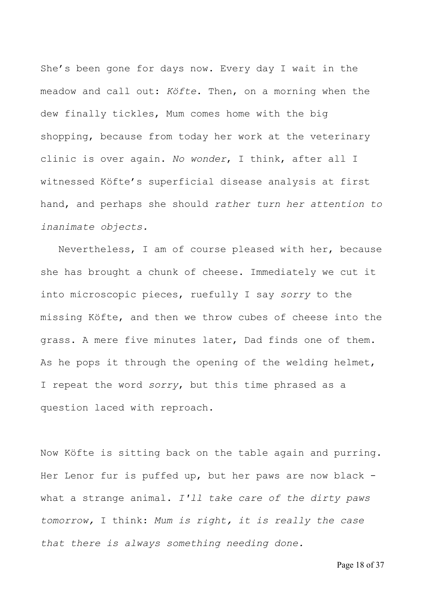She's been gone for days now. Every day I wait in the meadow and call out: *Köfte*. Then, on a morning when the dew finally tickles, Mum comes home with the big shopping, because from today her work at the veterinary clinic is over again. *No wonder*, I think, after all I witnessed Köfte's superficial disease analysis at first hand, and perhaps she should *rather turn her attention to inanimate objects.*

 Nevertheless, I am of course pleased with her, because she has brought a chunk of cheese. Immediately we cut it into microscopic pieces, ruefully I say *sorry* to the missing Köfte, and then we throw cubes of cheese into the grass. A mere five minutes later, Dad finds one of them. As he pops it through the opening of the welding helmet, I repeat the word *sorry*, but this time phrased as a question laced with reproach.

Now Köfte is sitting back on the table again and purring. Her Lenor fur is puffed up, but her paws are now black what a strange animal. *I'll take care of the dirty paws tomorrow,* I think: *Mum is right, it is really the case that there is always something needing done.*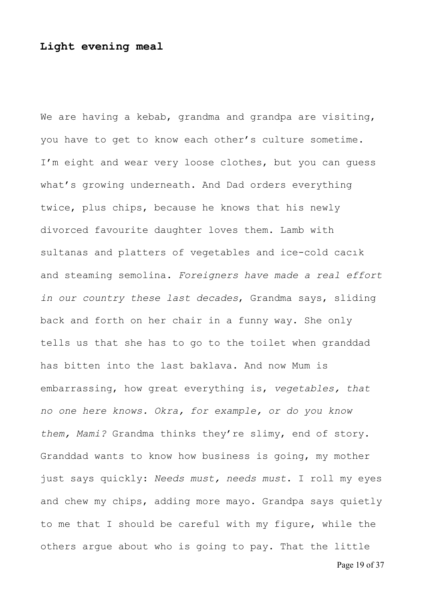## **Light evening meal**

We are having a kebab, grandma and grandpa are visiting, you have to get to know each other's culture sometime. I'm eight and wear very loose clothes, but you can guess what's growing underneath. And Dad orders everything twice, plus chips, because he knows that his newly divorced favourite daughter loves them. Lamb with sultanas and platters of vegetables and ice-cold cacık and steaming semolina. *Foreigners have made a real effort in our country these last decades*, Grandma says, sliding back and forth on her chair in a funny way. She only tells us that she has to go to the toilet when granddad has bitten into the last baklava. And now Mum is embarrassing, how great everything is, *vegetables, that no one here knows. Okra, for example, or do you know them, Mami?* Grandma thinks they're slimy, end of story. Granddad wants to know how business is going, my mother just says quickly: *Needs must, needs must*. I roll my eyes and chew my chips, adding more mayo. Grandpa says quietly to me that I should be careful with my figure, while the others argue about who is going to pay. That the little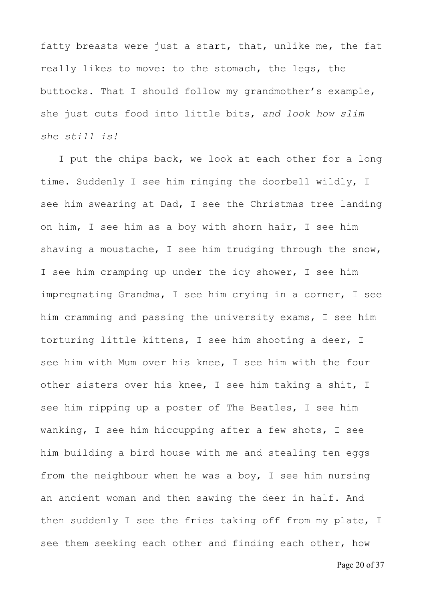fatty breasts were just a start, that, unlike me, the fat really likes to move: to the stomach, the legs, the buttocks. That I should follow my grandmother's example, she just cuts food into little bits, *and look how slim she still is!*

 I put the chips back, we look at each other for a long time. Suddenly I see him ringing the doorbell wildly, I see him swearing at Dad, I see the Christmas tree landing on him, I see him as a boy with shorn hair, I see him shaving a moustache, I see him trudging through the snow, I see him cramping up under the icy shower, I see him impregnating Grandma, I see him crying in a corner, I see him cramming and passing the university exams, I see him torturing little kittens, I see him shooting a deer, I see him with Mum over his knee, I see him with the four other sisters over his knee, I see him taking a shit, I see him ripping up a poster of The Beatles, I see him wanking, I see him hiccupping after a few shots, I see him building a bird house with me and stealing ten eggs from the neighbour when he was a boy, I see him nursing an ancient woman and then sawing the deer in half. And then suddenly I see the fries taking off from my plate, I see them seeking each other and finding each other, how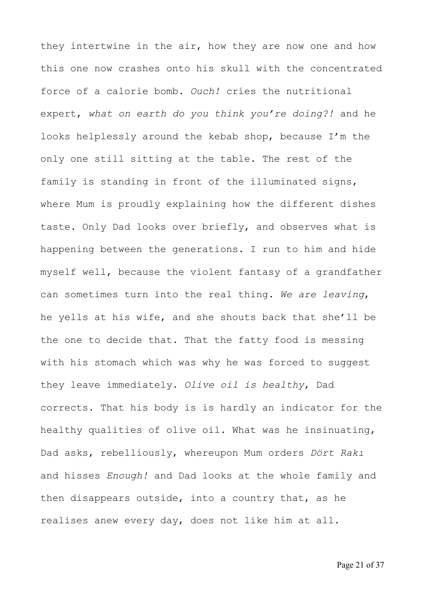they intertwine in the air, how they are now one and how this one now crashes onto his skull with the concentrated force of a calorie bomb. *Ouch!* cries the nutritional expert, *what on earth do you think you're doing?!* and he looks helplessly around the kebab shop, because I'm the only one still sitting at the table. The rest of the family is standing in front of the illuminated signs, where Mum is proudly explaining how the different dishes taste. Only Dad looks over briefly, and observes what is happening between the generations. I run to him and hide myself well, because the violent fantasy of a grandfather can sometimes turn into the real thing. *We are leaving*, he yells at his wife, and she shouts back that she'll be the one to decide that. That the fatty food is messing with his stomach which was why he was forced to suggest they leave immediately. *Olive oil is healthy*, Dad corrects. That his body is is hardly an indicator for the healthy qualities of olive oil. What was he insinuating, Dad asks, rebelliously, whereupon Mum orders *Dört Rakı* and hisses *Enough!* and Dad looks at the whole family and then disappears outside, into a country that, as he realises anew every day, does not like him at all.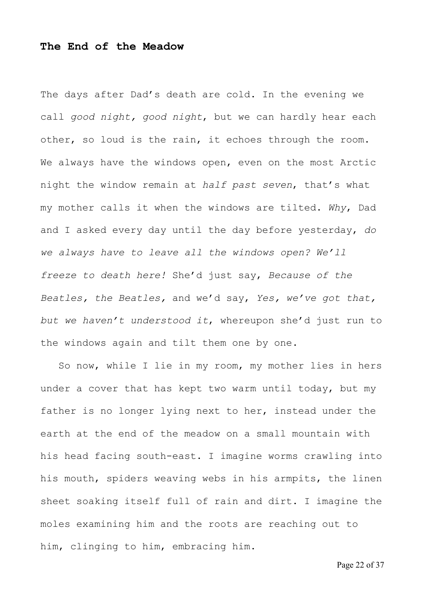## **The End of the Meadow**

The days after Dad's death are cold. In the evening we call *good night, good night*, but we can hardly hear each other, so loud is the rain, it echoes through the room. We always have the windows open, even on the most Arctic night the window remain at *half past seven*, that's what my mother calls it when the windows are tilted. *Why*, Dad and I asked every day until the day before yesterday, *do we always have to leave all the windows open? We'll freeze to death here!* She'd just say, *Because of the Beatles, the Beatles,* and we'd say, *Yes, we've got that, but we haven't understood it*, whereupon she'd just run to the windows again and tilt them one by one.

 So now, while I lie in my room, my mother lies in hers under a cover that has kept two warm until today, but my father is no longer lying next to her, instead under the earth at the end of the meadow on a small mountain with his head facing south-east. I imagine worms crawling into his mouth, spiders weaving webs in his armpits, the linen sheet soaking itself full of rain and dirt. I imagine the moles examining him and the roots are reaching out to him, clinging to him, embracing him.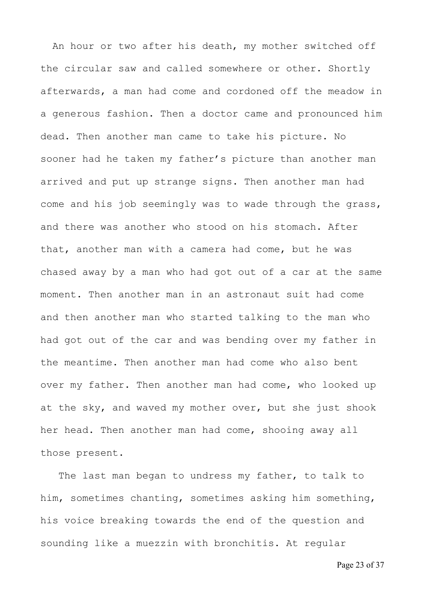An hour or two after his death, my mother switched off the circular saw and called somewhere or other. Shortly afterwards, a man had come and cordoned off the meadow in a generous fashion. Then a doctor came and pronounced him dead. Then another man came to take his picture. No sooner had he taken my father's picture than another man arrived and put up strange signs. Then another man had come and his job seemingly was to wade through the grass, and there was another who stood on his stomach. After that, another man with a camera had come, but he was chased away by a man who had got out of a car at the same moment. Then another man in an astronaut suit had come and then another man who started talking to the man who had got out of the car and was bending over my father in the meantime. Then another man had come who also bent over my father. Then another man had come, who looked up at the sky, and waved my mother over, but she just shook her head. Then another man had come, shooing away all those present.

 The last man began to undress my father, to talk to him, sometimes chanting, sometimes asking him something, his voice breaking towards the end of the question and sounding like a muezzin with bronchitis. At regular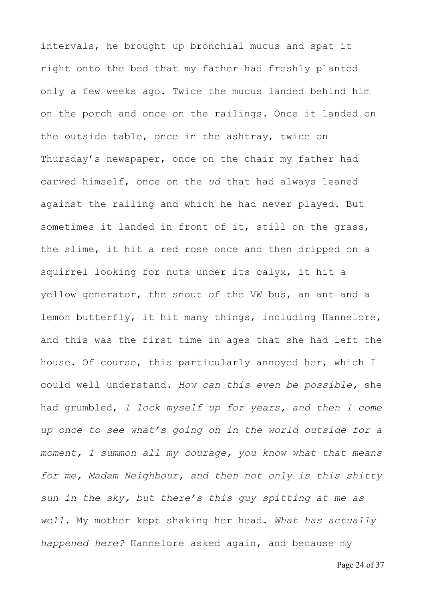intervals, he brought up bronchial mucus and spat it right onto the bed that my father had freshly planted only a few weeks ago. Twice the mucus landed behind him on the porch and once on the railings. Once it landed on the outside table, once in the ashtray, twice on Thursday's newspaper, once on the chair my father had carved himself, once on the *ud* that had always leaned against the railing and which he had never played. But sometimes it landed in front of it, still on the grass, the slime, it hit a red rose once and then dripped on a squirrel looking for nuts under its calyx, it hit a yellow generator, the snout of the VW bus, an ant and a lemon butterfly, it hit many things, including Hannelore, and this was the first time in ages that she had left the house. Of course, this particularly annoyed her, which I could well understand. *How can this even be possible,* she had grumbled, *I lock myself up for years, and then I come up once to see what's going on in the world outside for a moment, I summon all my courage, you know what that means for me, Madam Neighbour, and then not only is this shitty sun in the sky, but there's this guy spitting at me as well.* My mother kept shaking her head. *What has actually happened here?* Hannelore asked again, and because my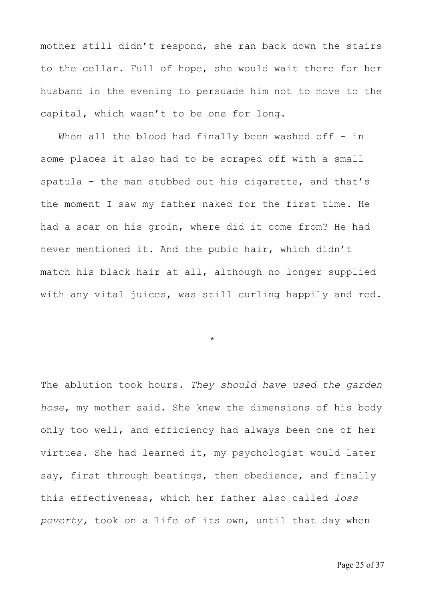mother still didn't respond, she ran back down the stairs to the cellar. Full of hope, she would wait there for her husband in the evening to persuade him not to move to the capital, which wasn't to be one for long.

When all the blood had finally been washed off  $-$  in some places it also had to be scraped off with a small spatula - the man stubbed out his cigarette, and that's the moment I saw my father naked for the first time. He had a scar on his groin, where did it come from? He had never mentioned it. And the pubic hair, which didn't match his black hair at all, although no longer supplied with any vital juices, was still curling happily and red.

\*

The ablution took hours. *They should have used the garden hose*, my mother said. She knew the dimensions of his body only too well, and efficiency had always been one of her virtues. She had learned it, my psychologist would later say, first through beatings, then obedience, and finally this effectiveness, which her father also called *loss poverty,* took on a life of its own, until that day when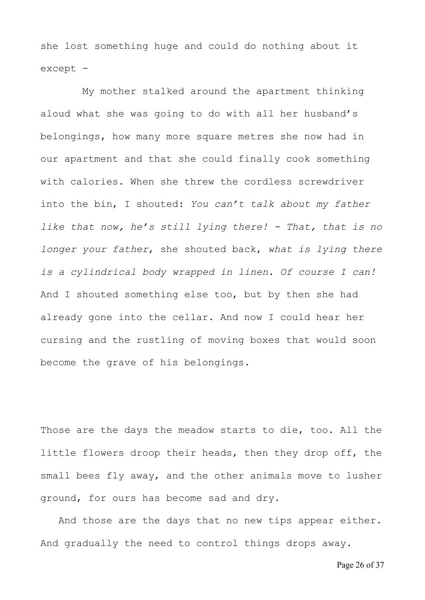she lost something huge and could do nothing about it except -

 My mother stalked around the apartment thinking aloud what she was going to do with all her husband's belongings, how many more square metres she now had in our apartment and that she could finally cook something with calories. When she threw the cordless screwdriver into the bin, I shouted: *You can't talk about my father like that now, he's still lying there! - That, that is no longer your father*, she shouted back, *what is lying there is a cylindrical body wrapped in linen. Of course I can!* And I shouted something else too, but by then she had already gone into the cellar. And now I could hear her cursing and the rustling of moving boxes that would soon become the grave of his belongings.

Those are the days the meadow starts to die, too. All the little flowers droop their heads, then they drop off, the small bees fly away, and the other animals move to lusher ground, for ours has become sad and dry.

 And those are the days that no new tips appear either. And gradually the need to control things drops away.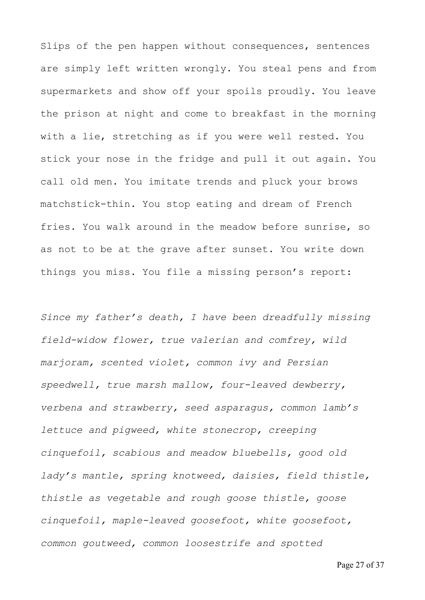Slips of the pen happen without consequences, sentences are simply left written wrongly. You steal pens and from supermarkets and show off your spoils proudly. You leave the prison at night and come to breakfast in the morning with a lie, stretching as if you were well rested. You stick your nose in the fridge and pull it out again. You call old men. You imitate trends and pluck your brows matchstick-thin. You stop eating and dream of French fries. You walk around in the meadow before sunrise, so as not to be at the grave after sunset. You write down things you miss. You file a missing person's report:

*Since my father's death, I have been dreadfully missing field-widow flower, true valerian and comfrey, wild marjoram, scented violet, common ivy and Persian speedwell, true marsh mallow, four-leaved dewberry, verbena and strawberry, seed asparagus, common lamb's lettuce and pigweed, white stonecrop, creeping cinquefoil, scabious and meadow bluebells, good old lady's mantle, spring knotweed, daisies, field thistle, thistle as vegetable and rough goose thistle, goose cinquefoil, maple-leaved goosefoot, white goosefoot, common goutweed, common loosestrife and spotted* 

Page 27 of 37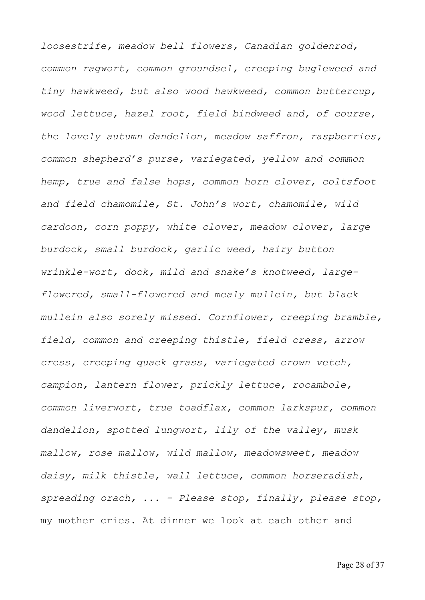*loosestrife, meadow bell flowers, Canadian goldenrod, common ragwort, common groundsel, creeping bugleweed and tiny hawkweed, but also wood hawkweed, common buttercup, wood lettuce, hazel root, field bindweed and, of course, the lovely autumn dandelion, meadow saffron, raspberries, common shepherd's purse, variegated, yellow and common hemp, true and false hops, common horn clover, coltsfoot and field chamomile, St. John's wort, chamomile, wild cardoon, corn poppy, white clover, meadow clover, large burdock, small burdock, garlic weed, hairy button wrinkle-wort, dock, mild and snake's knotweed, largeflowered, small-flowered and mealy mullein, but black mullein also sorely missed. Cornflower, creeping bramble, field, common and creeping thistle, field cress, arrow cress, creeping quack grass, variegated crown vetch, campion, lantern flower, prickly lettuce, rocambole, common liverwort, true toadflax, common larkspur, common dandelion, spotted lungwort, lily of the valley, musk mallow, rose mallow, wild mallow, meadowsweet, meadow daisy, milk thistle, wall lettuce, common horseradish, spreading orach, ... - Please stop, finally, please stop,*  my mother cries. At dinner we look at each other and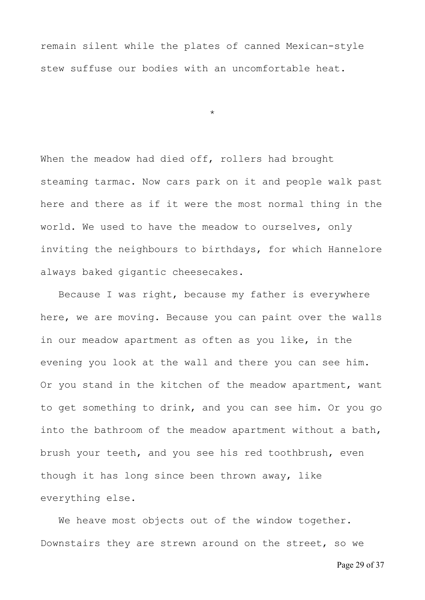remain silent while the plates of canned Mexican-style stew suffuse our bodies with an uncomfortable heat.

\*

When the meadow had died off, rollers had brought steaming tarmac. Now cars park on it and people walk past here and there as if it were the most normal thing in the world. We used to have the meadow to ourselves, only inviting the neighbours to birthdays, for which Hannelore always baked gigantic cheesecakes.

 Because I was right, because my father is everywhere here, we are moving. Because you can paint over the walls in our meadow apartment as often as you like, in the evening you look at the wall and there you can see him. Or you stand in the kitchen of the meadow apartment, want to get something to drink, and you can see him. Or you go into the bathroom of the meadow apartment without a bath, brush your teeth, and you see his red toothbrush, even though it has long since been thrown away, like everything else.

We heave most objects out of the window together. Downstairs they are strewn around on the street, so we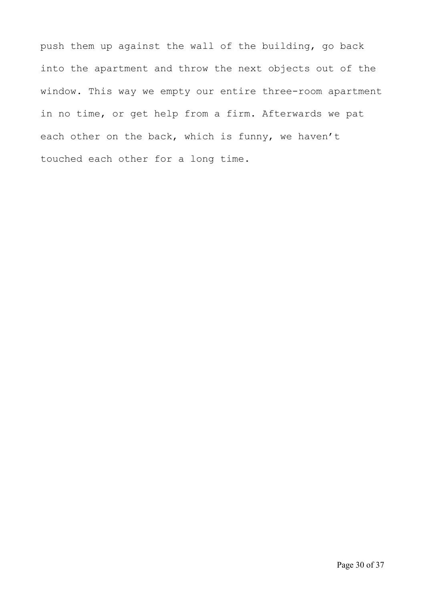push them up against the wall of the building, go back into the apartment and throw the next objects out of the window. This way we empty our entire three-room apartment in no time, or get help from a firm. Afterwards we pat each other on the back, which is funny, we haven't touched each other for a long time.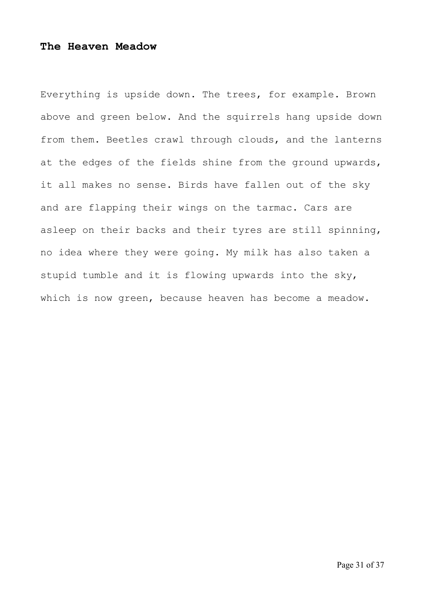## **The Heaven Meadow**

Everything is upside down. The trees, for example. Brown above and green below. And the squirrels hang upside down from them. Beetles crawl through clouds, and the lanterns at the edges of the fields shine from the ground upwards, it all makes no sense. Birds have fallen out of the sky and are flapping their wings on the tarmac. Cars are asleep on their backs and their tyres are still spinning, no idea where they were going. My milk has also taken a stupid tumble and it is flowing upwards into the sky, which is now green, because heaven has become a meadow.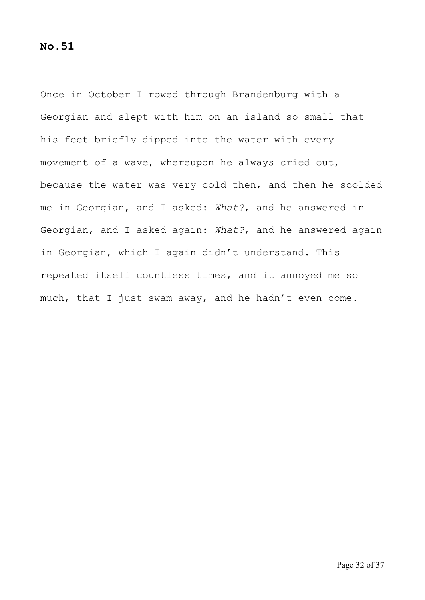## **No.51**

Once in October I rowed through Brandenburg with a Georgian and slept with him on an island so small that his feet briefly dipped into the water with every movement of a wave, whereupon he always cried out, because the water was very cold then, and then he scolded me in Georgian, and I asked: *What?*, and he answered in Georgian, and I asked again: *What?*, and he answered again in Georgian, which I again didn't understand. This repeated itself countless times, and it annoyed me so much, that I just swam away, and he hadn't even come.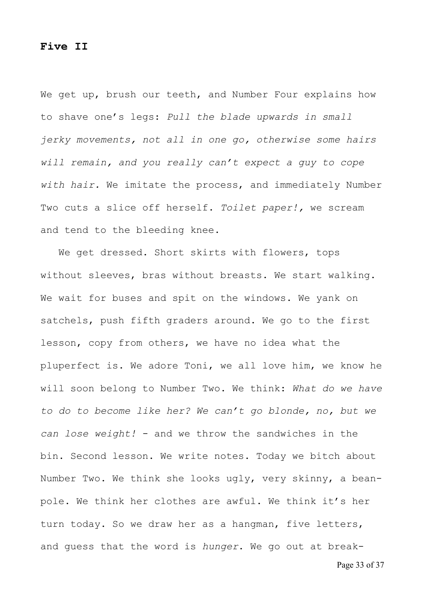#### **Five II**

We get up, brush our teeth, and Number Four explains how to shave one's legs: *Pull the blade upwards in small jerky movements, not all in one go, otherwise some hairs will remain, and you really can't expect a guy to cope with hair.* We imitate the process, and immediately Number Two cuts a slice off herself. *Toilet paper!,* we scream and tend to the bleeding knee.

 We get dressed. Short skirts with flowers, tops without sleeves, bras without breasts. We start walking. We wait for buses and spit on the windows. We yank on satchels, push fifth graders around. We go to the first lesson, copy from others, we have no idea what the pluperfect is. We adore Toni, we all love him, we know he will soon belong to Number Two. We think: *What do we have to do to become like her? We can't go blonde, no, but we can lose weight!* - and we throw the sandwiches in the bin. Second lesson. We write notes. Today we bitch about Number Two. We think she looks ugly, very skinny, a beanpole. We think her clothes are awful. We think it's her turn today. So we draw her as a hangman, five letters, and guess that the word is *hunger*. We go out at break-

Page 33 of 37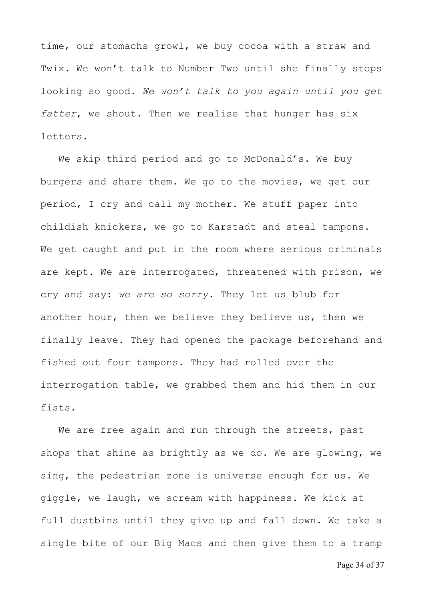time, our stomachs growl, we buy cocoa with a straw and Twix. We won't talk to Number Two until she finally stops looking so good. *We won't talk to you again until you get fatter*, we shout. Then we realise that hunger has six letters.

 We skip third period and go to McDonald's. We buy burgers and share them. We go to the movies, we get our period, I cry and call my mother. We stuff paper into childish knickers, we go to Karstadt and steal tampons. We get caught and put in the room where serious criminals are kept. We are interrogated, threatened with prison, we cry and say: *we are so sorry.* They let us blub for another hour, then we believe they believe us, then we finally leave. They had opened the package beforehand and fished out four tampons. They had rolled over the interrogation table, we grabbed them and hid them in our fists.

We are free again and run through the streets, past shops that shine as brightly as we do. We are glowing, we sing, the pedestrian zone is universe enough for us. We giggle, we laugh, we scream with happiness. We kick at full dustbins until they give up and fall down. We take a single bite of our Big Macs and then give them to a tramp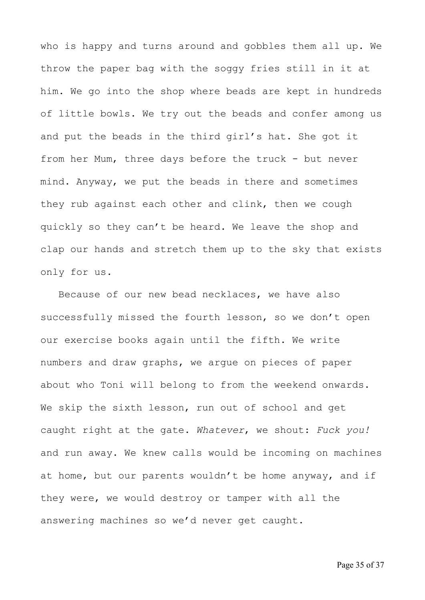who is happy and turns around and gobbles them all up. We throw the paper bag with the soggy fries still in it at him. We go into the shop where beads are kept in hundreds of little bowls. We try out the beads and confer among us and put the beads in the third girl's hat. She got it from her Mum, three days before the truck - but never mind. Anyway, we put the beads in there and sometimes they rub against each other and clink, then we cough quickly so they can't be heard. We leave the shop and clap our hands and stretch them up to the sky that exists only for us.

 Because of our new bead necklaces, we have also successfully missed the fourth lesson, so we don't open our exercise books again until the fifth. We write numbers and draw graphs, we argue on pieces of paper about who Toni will belong to from the weekend onwards. We skip the sixth lesson, run out of school and get caught right at the gate. *Whatever*, we shout: *Fuck you!* and run away. We knew calls would be incoming on machines at home, but our parents wouldn't be home anyway, and if they were, we would destroy or tamper with all the answering machines so we'd never get caught.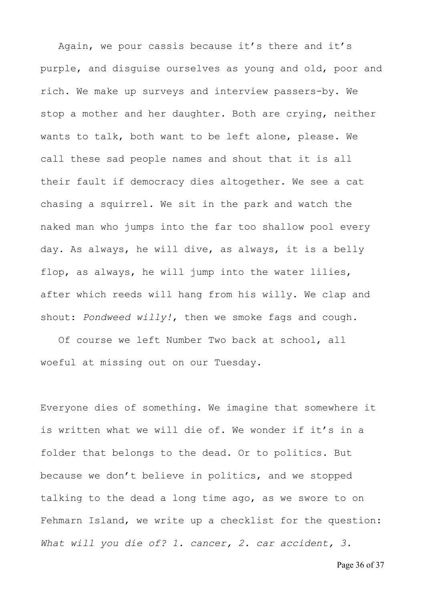Again, we pour cassis because it's there and it's purple, and disguise ourselves as young and old, poor and rich. We make up surveys and interview passers-by. We stop a mother and her daughter. Both are crying, neither wants to talk, both want to be left alone, please. We call these sad people names and shout that it is all their fault if democracy dies altogether. We see a cat chasing a squirrel. We sit in the park and watch the naked man who jumps into the far too shallow pool every day. As always, he will dive, as always, it is a belly flop, as always, he will jump into the water lilies, after which reeds will hang from his willy. We clap and shout: *Pondweed willy!*, then we smoke fags and cough.

 Of course we left Number Two back at school, all woeful at missing out on our Tuesday.

Everyone dies of something. We imagine that somewhere it is written what we will die of. We wonder if it's in a folder that belongs to the dead. Or to politics. But because we don't believe in politics, and we stopped talking to the dead a long time ago, as we swore to on Fehmarn Island, we write up a checklist for the question: *What will you die of? 1. cancer, 2. car accident, 3.*